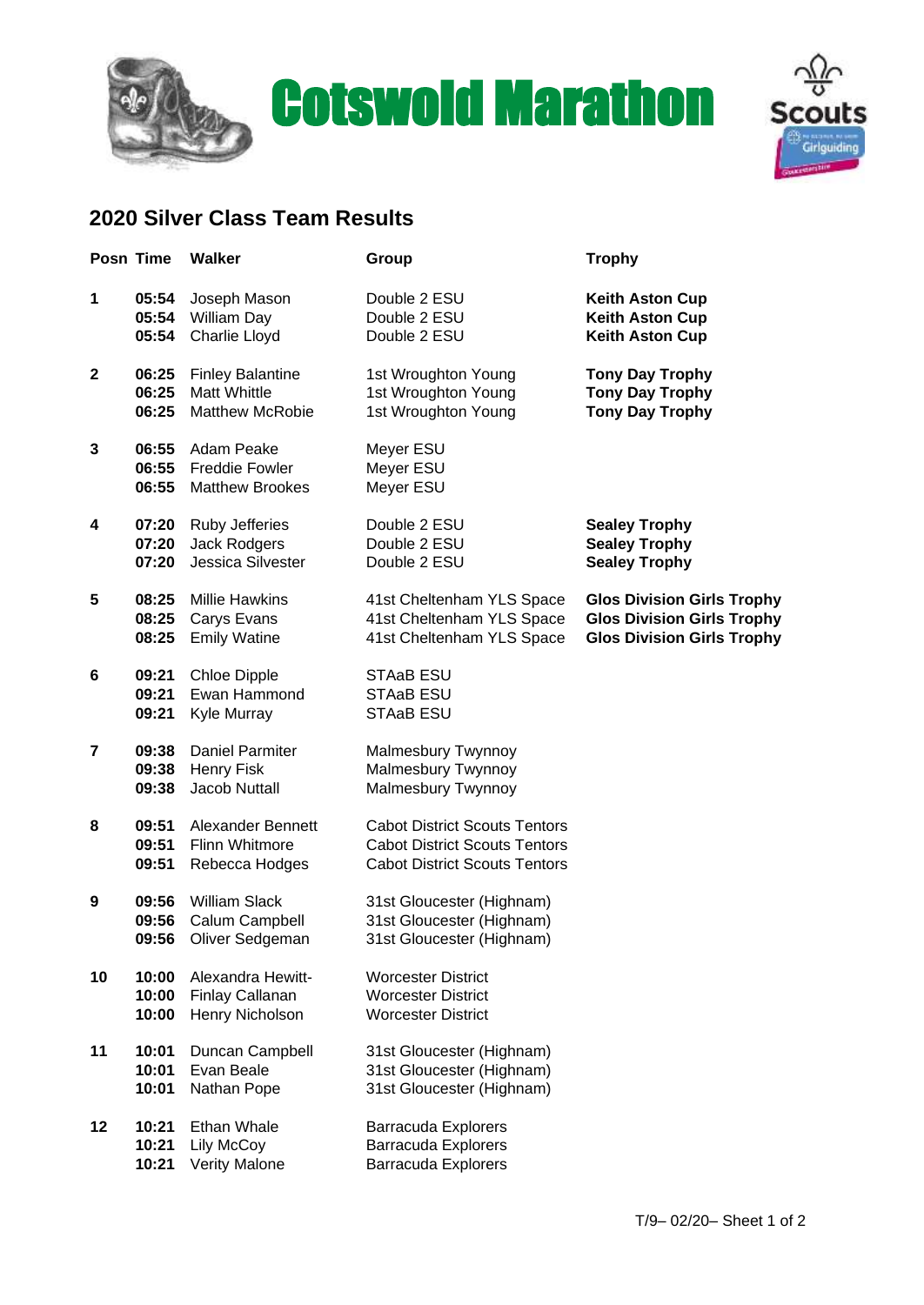

## Cotswold Marathon



## **2020 Silver Class Team Results**

|             | Posn Time               | <b>Walker</b>                                                     | Group                                                                                                                | <b>Trophy</b>                                                                                               |
|-------------|-------------------------|-------------------------------------------------------------------|----------------------------------------------------------------------------------------------------------------------|-------------------------------------------------------------------------------------------------------------|
| 1           | 05:54<br>05:54<br>05:54 | Joseph Mason<br>William Day<br>Charlie Lloyd                      | Double 2 ESU<br>Double 2 ESU<br>Double 2 ESU                                                                         | <b>Keith Aston Cup</b><br><b>Keith Aston Cup</b><br><b>Keith Aston Cup</b>                                  |
| $\mathbf 2$ | 06:25<br>06:25<br>06:25 | <b>Finley Balantine</b><br>Matt Whittle<br><b>Matthew McRobie</b> | 1st Wroughton Young<br>1st Wroughton Young<br>1st Wroughton Young                                                    | <b>Tony Day Trophy</b><br><b>Tony Day Trophy</b><br><b>Tony Day Trophy</b>                                  |
| 3           | 06:55<br>06:55<br>06:55 | Adam Peake<br><b>Freddie Fowler</b><br><b>Matthew Brookes</b>     | Meyer ESU<br>Meyer ESU<br>Meyer ESU                                                                                  |                                                                                                             |
| 4           | 07:20<br>07:20<br>07:20 | <b>Ruby Jefferies</b><br>Jack Rodgers<br>Jessica Silvester        | Double 2 ESU<br>Double 2 ESU<br>Double 2 ESU                                                                         | <b>Sealey Trophy</b><br><b>Sealey Trophy</b><br><b>Sealey Trophy</b>                                        |
| 5           | 08:25<br>08:25<br>08:25 | <b>Millie Hawkins</b><br>Carys Evans<br><b>Emily Watine</b>       | 41st Cheltenham YLS Space<br>41st Cheltenham YLS Space<br>41st Cheltenham YLS Space                                  | <b>Glos Division Girls Trophy</b><br><b>Glos Division Girls Trophy</b><br><b>Glos Division Girls Trophy</b> |
| 6           | 09:21<br>09:21<br>09:21 | <b>Chloe Dipple</b><br>Ewan Hammond<br>Kyle Murray                | STAaB ESU<br>STAaB ESU<br>STAaB ESU                                                                                  |                                                                                                             |
| 7           | 09:38<br>09:38<br>09:38 | <b>Daniel Parmiter</b><br><b>Henry Fisk</b><br>Jacob Nuttall      | Malmesbury Twynnoy<br>Malmesbury Twynnoy<br>Malmesbury Twynnoy                                                       |                                                                                                             |
| 8           | 09:51<br>09:51<br>09:51 | Alexander Bennett<br><b>Flinn Whitmore</b><br>Rebecca Hodges      | <b>Cabot District Scouts Tentors</b><br><b>Cabot District Scouts Tentors</b><br><b>Cabot District Scouts Tentors</b> |                                                                                                             |
| 9           | 09:56<br>09:56<br>09:56 | <b>William Slack</b><br>Calum Campbell<br>Oliver Sedgeman         | 31st Gloucester (Highnam)<br>31st Gloucester (Highnam)<br>31st Gloucester (Highnam)                                  |                                                                                                             |
| 10          | 10:00<br>10:00<br>10:00 | Alexandra Hewitt-<br>Finlay Callanan<br>Henry Nicholson           | <b>Worcester District</b><br><b>Worcester District</b><br><b>Worcester District</b>                                  |                                                                                                             |
| 11          | 10:01<br>10:01<br>10:01 | Duncan Campbell<br>Evan Beale<br>Nathan Pope                      | 31st Gloucester (Highnam)<br>31st Gloucester (Highnam)<br>31st Gloucester (Highnam)                                  |                                                                                                             |
| 12          | 10:21<br>10:21<br>10:21 | Ethan Whale<br>Lily McCoy<br>Verity Malone                        | Barracuda Explorers<br>Barracuda Explorers<br><b>Barracuda Explorers</b>                                             |                                                                                                             |